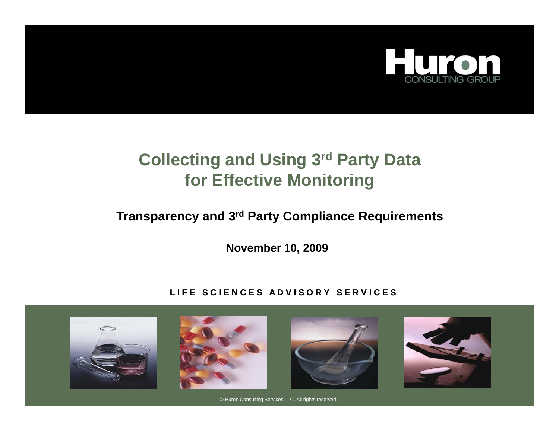

# **Collecting and Using 3rd Party Data for Effective Monitorin g**

### **Transparency and 3rd Party Compliance Requirements**

**November 10, 2009**

### LIFE SCIENCES ADVISORY SERVICES



© Huron Consulting Services LLC. All rights reserved.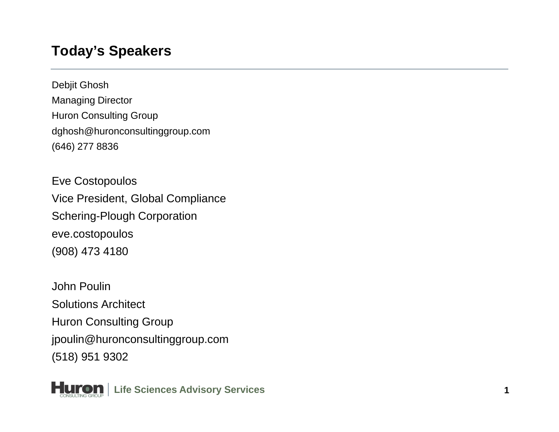### **Today's Speakers**

Debjit Ghosh Managing Director Huron Consulting Group dghosh@huronconsultinggroup.com (646) 277 8836

Eve Costopoulos Vice President, Global Compliance Schering-Plough Corporation eve.costopoulos (908) 473 4180

John PoulinSolutions Architect Huron Consulting Group jpoulin@huronconsultinggroup.com (518) 951 9302

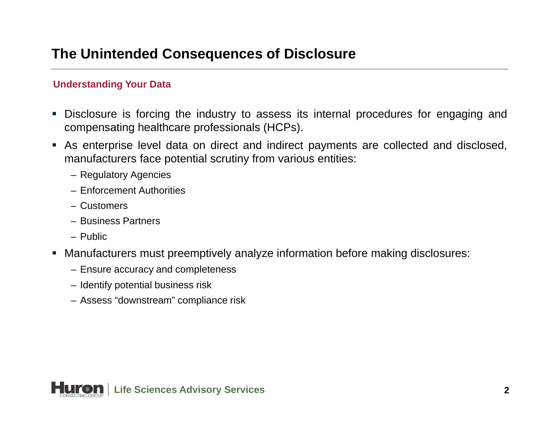## **The Unintended Consequences of Disclosure**

### **Understanding Your Data**

- Disclosure is forcing the industry to assess its internal procedures for engaging and compensating healthcare professionals (HCPs).
- As enterprise level data on direct and indirect payments are collected and disclosed, manufacturers face potential scrutiny from various entities:
	- Regulatory Agencies
	- Enforcement Authorities
	- Customers
	- Business Partners
	- Public
- Manufacturers must preemptively analyze information before making disclosures:
	- Ensure accuracy and completeness
	- Identify potential business risk
	- Assess "downstream" compliance risk

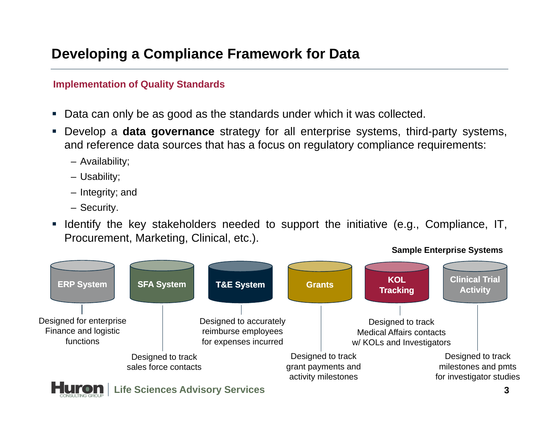## **Developing a Compliance Framework for Data**

#### **Implementation of Quality Standards**

- Data can only be as good as the standards under which it was collected.
- **•** Develop a **data governance** strategy for all enterprise systems, third-party systems, and reference data sources that has <sup>a</sup> focus on regulatory compliance requirements:
	- Availability;
	- Usability;
	- Integrity; and
	- Security.
- **I** Identify the key stakeholders needed to support the initiative (e.g., Compliance, IT, Procurement, Marketing, Clinical, etc.).

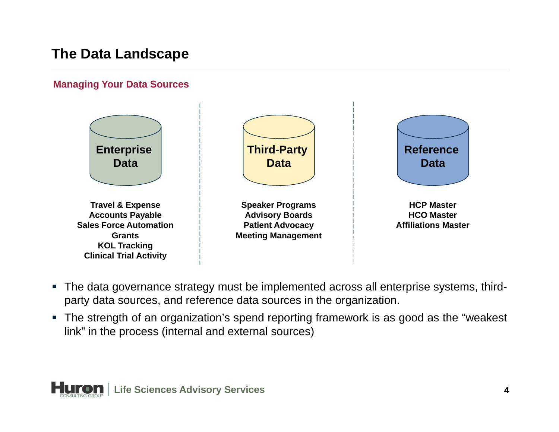## **The Data Landscape**

#### **Managing Your Data Sources**



- The data governance strategy must be implemented across all enterprise systems, thirdparty data sources, and reference data sources in the organization.
- The strength of an organization's spend reporting framework is as good as the "weakest link" in the process (internal and external sources)

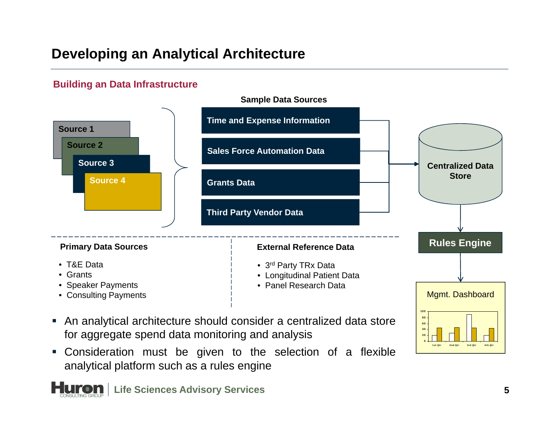# **Developing an Analytical Architecture**

### **Building an Data Infrastructure**



- An analytical architecture should consider <sup>a</sup> centralized data store for aggregate spend data monitoring and analysis
- Consideration must be given to the selection of a flexible analytical platform such as <sup>a</sup> rules engine

**Huron** | Life Sciences Advisory Services

1st Qtr 2nd Qtr 3rd Qtr 4th Qtr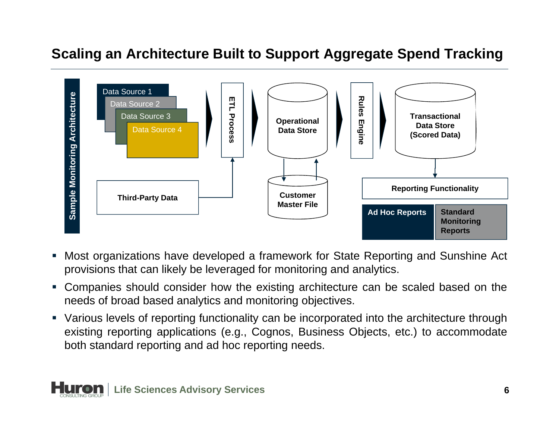### **Scaling an Architecture Built to Support Aggregate Spend Tracking**



- Ш Most organizations have developed <sup>a</sup> framework for State Reporting and Sunshine Act provisions that can likely be leveraged for monitoring and analytics.
- Companies should consider how the existing architecture can be scaled based on the needs of broad based analytics and monitoring objectives.
- Various levels of reporting functionality can be incorporated into the architecture through existing reporting applications (e.g., Cognos, Business Objects, etc.) to accommodate both standard reporting and ad hoc reporting needs.

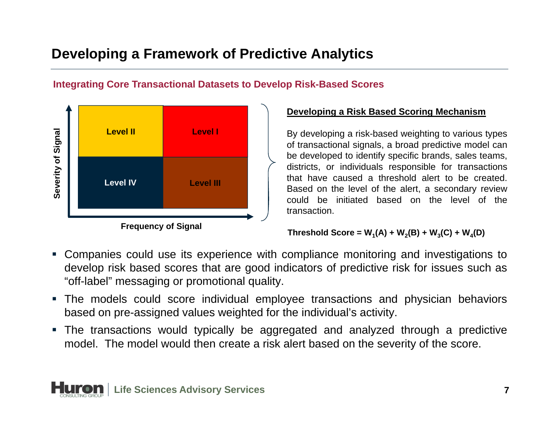# **Developing a Framework of Predictive Analytics**

### **Integrating Core Transactional Datasets to Develop Risk-Based Scores**



#### **Developing <sup>a</sup> Risk Based Scoring Mechanism**

**By developing a risk-based weighting to various types** and the By developing a risk-based weighting to various types of transactional signals, <sup>a</sup> broad predictive model can be developed to identify specific brands, sales teams, districts, or individuals responsible for transactions that have caused a threshold alert to be created. Based on the level of the alert, a secondary review could be initiated based on the level of thetransaction.

#### **Threshold Score =**  $W_1(A) + W_2(B) + W_3(C) + W_4(D)$

- Companies could use its experience with compliance monitoring and investigations to develop risk based scores that are good indicators of predictive risk for issues such as "off-label" messaging or promotional quality.
- The models could score individual employee transactions and physician behaviors based on pre-assigned values weighted for the individual's activity.
- The transactions would typically be aggregated and analyzed through <sup>a</sup> predictive model. The model would then create <sup>a</sup> risk alert based on the severity of the score.

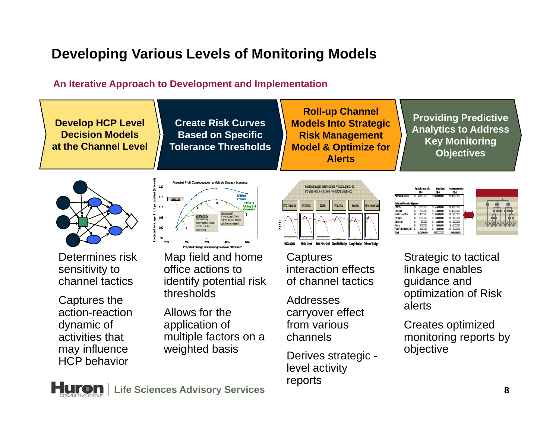# **Developing Various Levels of Monitoring Models**

### **An Iterative Approach to Development and Implementation**

**Develop HCP Level Decision Modelsat the Channel Level**

**Create Risk Curves Based on Specific Tolerance Thresholds**

**Roll-up Channel Models Into Strategic Risk Management PROSPECTSModel & Optimize for Alerts**

**Providing Predictive Anal ytics to Address y Key Monitoring Objectives**



 Determines risk sensitivity to channel tactics

Captures the action-reaction dynamic of activities that may influence HCP behavior



 Map field and home office actions to identify potential risk thresholds

 Allows for the application of multiple factors on a y influence weighted basis



**Reductionscenario BaseCase Increasescenario \$(M) \$(M) \$(M) Net Sales Forecast**\$\$\$PL50000 \$5 471,500,000 \$ 50,000,000 \$ 519,000,000 **Sales and Promotion Expense** DTCTV S. 3 \$ 4 9,000,000 \$ 4 5,000,000 \$ 7,000,000 DTC print \$ 8,000,000 \$ 1,000,000 \$ 1,000,000<br>FieldForce(P1E) \$ 64,000,000 \$ 65,000,000 \$ 69,000,000<br>Samples \$ 28,000,000 \$ 30,000,000 \$ 31,000,000 Direct Mail 5\$ 300,000 \$ 2,000,000 \$ 2,000,000 Events 2 \$ 5 ,000,000 \$ 6 ,000,000 \$ ,000,000 KOL/Publications/CME \$ 3 1,000,000 \$ 3 ,000,000 \$ ,000,000 **Total**\$142,500,000 \$160,000,000 \$168,000,000

**Captures** interaction effects of channel tactics

Addresses carryover effect from various channels

Derives strategic level activity reports

 Strategic to tactical linkage enables guidance and optimization of Risk alerts

 Creates optimized monitoring reports by objective

**Huron** | Life Sciences Advisory Services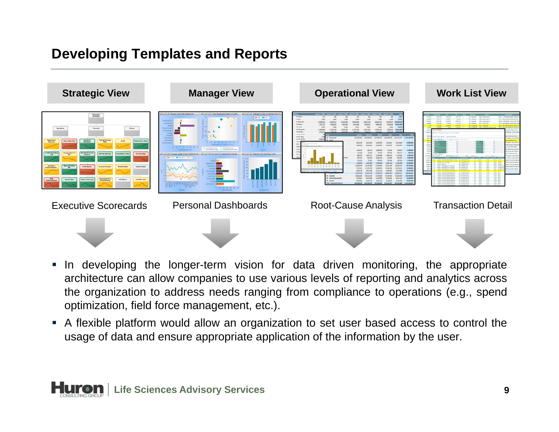# **Developing Templates and Reports**



- **In developing the longer-term vision for data driven monitoring, the appropriate** architecture can allow companies to use various levels of reporting and analytics across the organization to address needs ranging from compliance to operations (e.g., spend optimization, field force management, etc.).
- A flexible platform would allow an organization to set user based access to control the usage of data and ensure appropriate application of the information by the user.

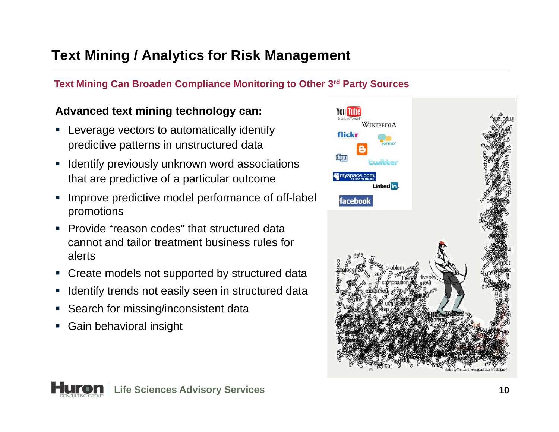# **Text Mining / Analytics for Risk Management**

### **d Text Mining Can Broaden Compliance Monitoring to Other 3rd Party Sources**

### **Advanced text mining technology can:**

- Ē, ■ Leverage vectors to automatically identify predictive patterns in unstructured data
- $\overline{\phantom{a}}$  Identify previously unknown word associations that are predictive of a particular outcome
- $\mathcal{L}_{\mathcal{A}}$  Improve predictive model performance of off-label promotions
- Provide "reason codes" that structured data cannot and tailor treatment business rules foralerts
- ×, Create models not supported by structured data
- $\mathcal{L}_{\mathcal{A}}$ • Identify trends not easily seen in structured data
- ×, Search for missing/inconsistent data
- $\mathcal{L}_{\mathcal{A}}$ Gain behavioral insight



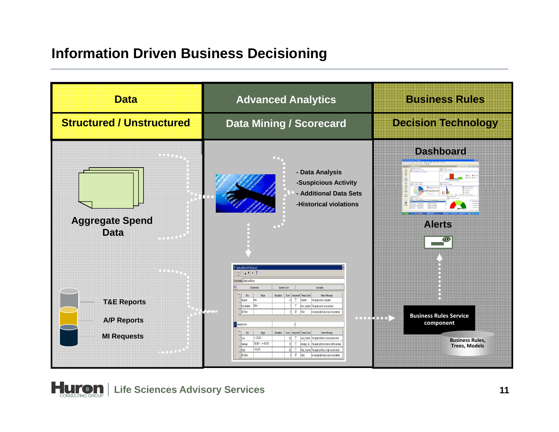## **Information Driven Business Decisioning**



**Huron** | Life Sciences Advisory Services **11**